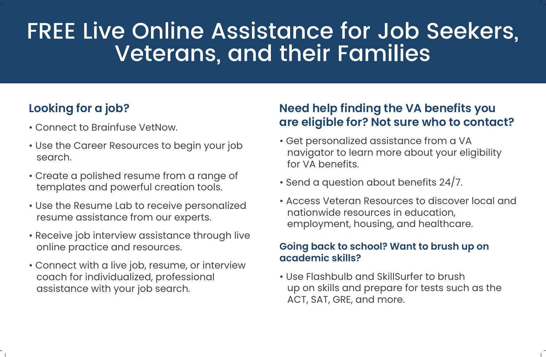## FREE Live Online Assistance for Job Seekers, **Veterans, and their Families**

### **Looking for a job?**

- Connect to Brainfuse VetNow.
- Use the Career Resources to begin your job search.
- Create a polished resume from a range of templates and powerful creation tools.
- Use the Resume Lab to receive personalized resume assistance from our experts.
- Receive job interview assistance through live online practice and resources.
- Connect with a live job, resume, or interview coach for individualized, professional assistance with your job search.

#### **Need help finding the VA benefits you are eligible for? Not sure who to contact?**

- Get personalized assistance from a VA navigator to learn more about your eligibility for VA benefits.
- Send a question about benefits 24/7.
- Access Veteran Resources to discover local and nationwide resources in education, employment, housing, and healthcare.

#### **Going back to school? Want to brush up on academic skills?**

• Use Flashbulb and SkillSurfer to brush up on skills and prepare for tests such as the ACT, SAT, GRE, and more.